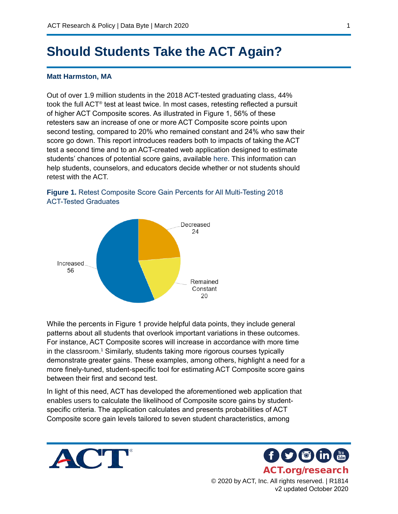# **Should Students Take the ACT Again?**

#### **Matt Harmston, MA**

Out of over 1.9 million students in the 2018 ACT-tested graduating class, 44% took the full ACT® test at least twice. In most cases, retesting reflected a pursuit of higher ACT Composite scores. As illustrated in Figure 1, 56% of these retesters saw an increase of one or more ACT Composite score points upon second testing, compared to 20% who remained constant and 24% who saw their score go down. This report introduces readers both to impacts of taking the ACT test a second time and to an ACT-created web application designed to estimate students' chances of potential score gains, available [here](https://public.tableau.com/profile/act2044#!/vizhome/ShouldYouTestaSecondTime/Dashboard1?publish=yes). This information can help students, counselors, and educators decide whether or not students should retest with the ACT.





While the percents in Figure 1 provide helpful data points, they include general patterns about all students that overlook important variations in these outcomes. For instance, ACT Composite scores will increase in accordance with more time in the classroom.1 Similarly, students taking more rigorous courses typically demonstrate greater gains. These examples, among others, highlight a need for a more finely-tuned, student-specific tool for estimating ACT Composite score gains between their first and second test.

In light of this need, ACT has developed the aforementioned web application that enables users to calculate the likelihood of Composite score gains by studentspecific criteria. The application calculates and presents probabilities of ACT Composite score gain levels tailored to seven student characteristics, among





© 2020 by ACT, Inc. All rights reserved. | R1814 v2 updated October 2020